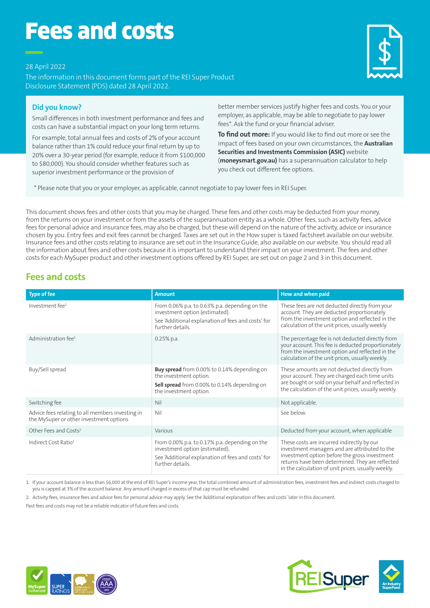# Fees and costs

28 April 2022

The information in this document forms part of the REI Super Product Disclosure Statement (PDS) dated 28 April 2022.

# **Did you know?**

Small differences in both investment performance and fees and costs can have a substantial impact on your long term returns.

For example, total annual fees and costs of 2% of your account balance rather than 1% could reduce your final return by up to 20% over a 30-year period (for example, reduce it from \$100,000 to \$80,000). You should consider whether features such as superior investment performance or the provision of



**To find out more:** If you would like to find out more or see the impact of fees based on your own circumstances, the **Australian Securities and Investments Commission (ASIC)** website (**moneysmart.gov.au)** has a superannuation calculator to help you check out different fee options.

\* Please note that you or your employer, as applicable, cannot negotiate to pay lower fees in REI Super.

This document shows fees and other costs that you may be charged. These fees and other costs may be deducted from your money, from the returns on your investment or from the assets of the superannuation entity as a whole. Other fees, such as activity fees, advice fees for personal advice and insurance fees, may also be charged, but these will depend on the nature of the activity, advice or insurance chosen by you. Entry fees and exit fees cannot be charged. Taxes are set out in the How super is taxed factsheet available on our website. Insurance fees and other costs relating to insurance are set out in the Insurance Guide, also available on our website. You should read all the information about fees and other costs because it is important to understand their impact on your investment. The fees and other costs for each MySuper product and other investment options offered by REI Super, are set out on page 2 and 3 in this document.

# **Fees and costs**

| <b>Type of fee</b>                                                                          | <b>Amount</b>                                                                                                                                                 | How and when paid                                                                                                                                                                                                                                      |
|---------------------------------------------------------------------------------------------|---------------------------------------------------------------------------------------------------------------------------------------------------------------|--------------------------------------------------------------------------------------------------------------------------------------------------------------------------------------------------------------------------------------------------------|
| Investment fee <sup>1</sup>                                                                 | From 0.06% p.a. to 0.63% p.a. depending on the<br>investment option (estimated).<br>See 'Additional explanation of fees and costs' for<br>further details.    | These fees are not deducted directly from your<br>account. They are deducted proportionately<br>from the investment option and reflected in the<br>calculation of the unit prices, usually weekly.                                                     |
| Administration fee <sup>1</sup>                                                             | $0.25%$ p.a.                                                                                                                                                  | The percentage fee is not deducted directly from<br>your account. This fee is deducted proportionately<br>from the investment option and reflected in the<br>calculation of the unit prices, usually weekly.                                           |
| Buy/Sell spread                                                                             | <b>Buy spread</b> from 0.00% to 0.14% depending on<br>the investment option.<br><b>Sell spread</b> from 0.00% to 0.14% depending on<br>the investment option. | These amounts are not deducted directly from<br>your account. They are charged each time units<br>are bought or sold on your behalf and reflected in<br>the calculation of the unit prices, usually weekly.                                            |
| Switching fee                                                                               | Nil                                                                                                                                                           | Not applicable.                                                                                                                                                                                                                                        |
| Advice fees relating to all members investing in<br>the MySuper or other investment options | Nil                                                                                                                                                           | See below.                                                                                                                                                                                                                                             |
| Other Fees and Costs <sup>2</sup>                                                           | Various                                                                                                                                                       | Deducted from your account, when applicable                                                                                                                                                                                                            |
| Indirect Cost Ratio <sup>1</sup>                                                            | From 0.00% p.a. to 0.17% p.a. depending on the<br>investment option (estimated).<br>See 'Additional explanation of fees and costs' for<br>further details.    | These costs are incurred indirectly by our<br>investment managers and are attributed to the<br>investment option before the gross investment<br>returns have been determined. They are reflected<br>in the calculation of unit prices, usually weekly. |

1. If your account balance is less than \$6,000 at the end of REI Super's income year, the total combined amount of administration fees, investment fees and indirect costs charged to you is capped at 3% of the account balance. Any amount charged in excess of that cap must be refunded.

2. Activity fees, insurance fees and advice fees for personal advice may apply. See the 'Additional explanation of fees and costs' later in this document.

Past fees and costs may not be a reliable indicator of future fees and costs.





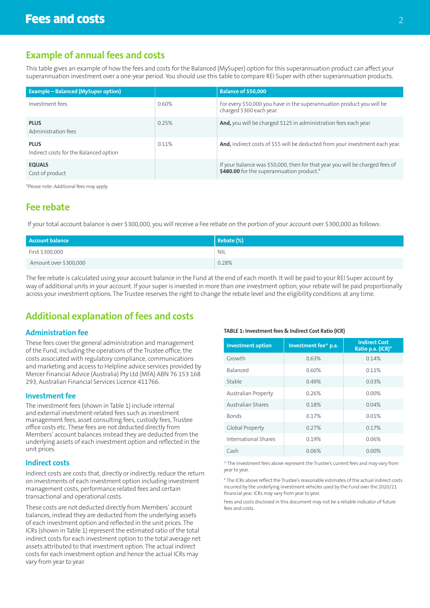# **Example of annual fees and costs**

This table gives an example of how the fees and costs for the Balanced (MySuper) option for this superannuation product can affect your superannuation investment over a one-year period. You should use this table to compare REI Super with other superannuation products.

| <b>Example – Balanced (MySuper option)</b>            |       | <b>Balance of \$50,000</b>                                                                                                |
|-------------------------------------------------------|-------|---------------------------------------------------------------------------------------------------------------------------|
| Investment fees                                       | 0.60% | For every \$50,000 you have in the superannuation product you will be<br>charged \$300 each year.                         |
| <b>PLUS</b><br>Administration fees                    | 0.25% | And, you will be charged \$125 in administration fees each year.                                                          |
| <b>PLUS</b><br>Indirect costs for the Balanced option | 0.11% | And, indirect costs of \$55 will be deducted from your investment each year.                                              |
| <b>EQUALS</b><br>Cost of product                      |       | If your balance was \$50,000, then for that year you will be charged fees of<br>\$480.00 for the superannuation product.* |

\*Please note: Additional fees may apply.

# **Fee rebate**

If your total account balance is over \$300,000, you will receive a Fee rebate on the portion of your account over \$300,000 as follows:

| Account balance       | Rec(%)     |
|-----------------------|------------|
| First \$300,000       | <b>NIL</b> |
| Amount over \$300,000 | 0.28%      |

The fee rebate is calculated using your account balance in the Fund at the end of each month. It will be paid to your REI Super account by way of additional units in your account. If your super is invested in more than one investment option, your rebate will be paid proportionally across your investment options. The Trustee reserves the right to change the rebate level and the eligibility conditions at any time.

# **Additional explanation of fees and costs**

# **Administration fee**

These fees cover the general administration and management of the Fund, including the operations of the Trustee office, the costs associated with regulatory compliance, communications and marketing and access to Helpline advice services provided by Mercer Financial Advice (Australia) Pty Ltd (MFA) ABN 76 153 168 293, Australian Financial Services Licence 411766.

## **Investment fee**

The investment fees (shown in Table 1) include internal and external investment-related fees such as investment management fees, asset consulting fees, custody fees, Trustee office costs etc. These fees are not deducted directly from Members' account balances instead they are deducted from the underlying assets of each investment option and reflected in the unit prices.

#### **Indirect costs**

Indirect costs are costs that, directly or indirectly, reduce the return on investments of each investment option including investment management costs, performance related fees and certain transactional and operational costs.

These costs are not deducted directly from Members' account balances, instead they are deducted from the underlying assets of each investment option and reflected in the unit prices. The ICRs (shown in Table 1) represent the estimated ratio of the total indirect costs for each investment option to the total average net assets attributed to that investment option. The actual indirect costs for each investment option and hence the actual ICRs may vary from year to year.

#### **TABLE 1: Investment fees & Indirect Cost Ratio (ICR)**

| <b>Investment option</b> | Investment fee^ p.a. | <b>Indirect Cost</b><br>Ratio p.a. (ICR)* |
|--------------------------|----------------------|-------------------------------------------|
| Growth                   | 0.63%                | 0.14%                                     |
| <b>Balanced</b>          | 0.60%                | 0.11%                                     |
| Stable                   | 0.49%                | 0.03%                                     |
| Australian Property      | 0.26%                | $0.00\%$                                  |
| <b>Australian Shares</b> | 0.18%                | 0.04%                                     |
| <b>Bonds</b>             | 0.17%                | 0.01%                                     |
| Global Property          | 0.27%                | 0.17%                                     |
| International Shares     | 0.19%                | 0.06%                                     |
| Cash                     | 0.06%                | 0.00%                                     |

^ The Investment fees above represent the Trustee's current fees and may vary from year to year.

\* The ICRs above reflect the Trustee's reasonable estimates of the actual indirect costs incurred by the underlying investment vehicles used by the Fund over the 2020/21 financial year. ICRs may vary from year to year.

Fees and costs disclosed in this document may not be a reliable indicator of future fees and costs.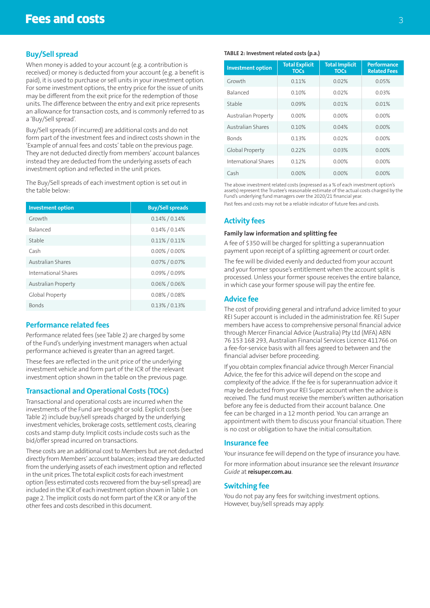# **Buy/Sell spread**

When money is added to your account (e.g. a contribution is received) or money is deducted from your account (e.g. a benefit is paid), it is used to purchase or sell units in your investment option. For some investment options, the entry price for the issue of units may be different from the exit price for the redemption of those units. The difference between the entry and exit price represents an allowance for transaction costs, and is commonly referred to as a 'Buy/Sell spread'.

Buy/Sell spreads (if incurred) are additional costs and do not form part of the investment fees and indirect costs shown in the 'Example of annual fees and costs' table on the previous page. They are not deducted directly from members' account balances instead they are deducted from the underlying assets of each investment option and reflected in the unit prices.

The Buy/Sell spreads of each investment option is set out in the table below:

| <b>Investment option</b>   | <b>Buy/Sell spreads</b> |
|----------------------------|-------------------------|
| Growth                     | $0.14\% / 0.14\%$       |
| <b>Balanced</b>            | $0.14\% / 0.14\%$       |
| Stable                     | $0.11\% / 0.11\%$       |
| Cash                       | $0.00\%$ / 0.00%        |
| Australian Shares          | $0.07\%$ / 0.07%        |
| International Shares       | $0.09\%$ / 0.09%        |
| <b>Australian Property</b> | $0.06\%$ / 0.06%        |
| Global Property            | $0.08\%$ / $0.08\%$     |
| <b>Bonds</b>               | $0.13\% / 0.13\%$       |

## **Performance related fees**

Performance related fees (see Table 2) are charged by some of the Fund's underlying investment managers when actual performance achieved is greater than an agreed target.

These fees are reflected in the unit price of the underlying investment vehicle and form part of the ICR of the relevant investment option shown in the table on the previous page.

#### **Transactional and Operational Costs (TOCs)**

Transactional and operational costs are incurred when the investments of the Fund are bought or sold. Explicit costs (see Table 2) include buy/sell spreads charged by the underlying investment vehicles, brokerage costs, settlement costs, clearing costs and stamp duty. Implicit costs include costs such as the bid/offer spread incurred on transactions.

These costs are an additional cost to Members but are not deducted directly from Members' account balances; instead they are deducted from the underlying assets of each investment option and reflected in the unit prices. The total explicit costs for each investment option (less estimated costs recovered from the buy-sell spread) are included in the ICR of each investment option shown in Table 1 on page 2. The implicit costs do not form part of the ICR or any of the other fees and costs described in this document.

#### **TABLE 2: Investment related costs (p.a.)**

| <b>Investment option</b> | <b>Total Explicit</b><br><b>TOCs</b> | <b>Total Implicit</b><br><b>TOCs</b> | <b>Performance</b><br><b>Related Fees</b> |
|--------------------------|--------------------------------------|--------------------------------------|-------------------------------------------|
| Growth                   | 0.11%                                | 0.02%                                | 0.05%                                     |
| <b>Balanced</b>          | 0.10%                                | 0.02%                                | 0.03%                                     |
| Stable                   | 0.09%                                | 0.01%                                | 0.01%                                     |
| Australian Property      | 0.00%                                | 0.00%                                | $0.00\%$                                  |
| Australian Shares        | 0.10%                                | 0.04%                                | $0.00\%$                                  |
| <b>Bonds</b>             | 013%                                 | 0.02%                                | $0.00\%$                                  |
| Global Property          | 0.22%                                | 0.03%                                | $0.00\%$                                  |
| International Shares     | 012%                                 | 0.00%                                | $0.00\%$                                  |
| Cash                     | $0.00\%$                             | $0.00\%$                             | $0.00\%$                                  |

The above investment related costs (expressed as a % of each investment option's assets) represent the Trustee's reasonable estimate of the actual costs charged by the Fund's underlying fund managers over the 2020/21 financial year. Past fees and costs may not be a reliable indicator of future fees and costs.

# **Activity fees**

#### **Family law information and splitting fee**

A fee of \$350 will be charged for splitting a superannuation payment upon receipt of a splitting agreement or court order.

The fee will be divided evenly and deducted from your account and your former spouse's entitlement when the account split is processed. Unless your former spouse receives the entire balance, in which case your former spouse will pay the entire fee.

# **Advice fee**

The cost of providing general and intrafund advice limited to your REI Super account is included in the administration fee. REI Super members have access to comprehensive personal financial advice through Mercer Financial Advice (Australia) Pty Ltd (MFA) ABN 76 153 168 293, Australian Financial Services Licence 411766 on a fee-for-service basis with all fees agreed to between and the financial adviser before proceeding.

If you obtain complex financial advice through Mercer Financial Advice, the fee for this advice will depend on the scope and complexity of the advice. If the fee is for superannuation advice it may be deducted from your REI Super account when the advice is received. The fund must receive the member's written authorisation before any fee is deducted from their account balance. One fee can be charged in a 12 month period. You can arrange an appointment with them to discuss your financial situation. There is no cost or obligation to have the initial consultation.

#### **Insurance fee**

Your insurance fee will depend on the type of insurance you have.

For more information about insurance see the relevant *Insurance Guide* at **reisuper.com.au**.

#### **Switching fee**

You do not pay any fees for switching investment options. However, buy/sell spreads may apply.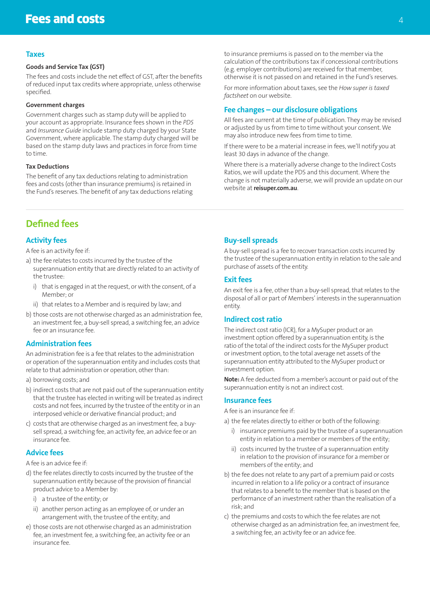#### **Taxes**

#### **Goods and Service Tax (GST)**

The fees and costs include the net effect of GST, after the benefits of reduced input tax credits where appropriate, unless otherwise specified.

#### **Government charges**

Government charges such as stamp duty will be applied to your account as appropriate. Insurance fees shown in the *PDS* and *Insurance Guide* include stamp duty charged by your State Government, where applicable. The stamp duty charged will be based on the stamp duty laws and practices in force from time to time.

#### **Tax Deductions**

The benefit of any tax deductions relating to administration fees and costs (other than insurance premiums) is retained in the Fund's reserves. The benefit of any tax deductions relating to insurance premiums is passed on to the member via the calculation of the contributions tax if concessional contributions (e.g. employer contributions) are received for that member, otherwise it is not passed on and retained in the Fund's reserves.

For more information about taxes, see the *How super is taxed factsheet* on our website.

#### **Fee changes – our disclosure obligations**

All fees are current at the time of publication. They may be revised or adjusted by us from time to time without your consent. We may also introduce new fees from time to time.

If there were to be a material increase in fees, we'll notify you at least 30 days in advance of the change.

Where there is a materially adverse change to the Indirect Costs Ratios, we will update the PDS and this document. Where the change is not materially adverse, we will provide an update on our website at **reisuper.com.au**.

# **Defined fees**

# **Activity fees**

A fee is an activity fee if:

- a) the fee relates to costs incurred by the trustee of the superannuation entity that are directly related to an activity of the trustee:
	- i) that is engaged in at the request, or with the consent, of a Member; or
	- ii) that relates to a Member and is required by law; and
- b) those costs are not otherwise charged as an administration fee, an investment fee, a buy-sell spread, a switching fee, an advice fee or an insurance fee.

## **Administration fees**

An administration fee is a fee that relates to the administration or operation of the superannuation entity and includes costs that relate to that administration or operation, other than:

- a) borrowing costs; and
- b) indirect costs that are not paid out of the superannuation entity that the trustee has elected in writing will be treated as indirect costs and not fees, incurred by the trustee of the entity or in an interposed vehicle or derivative financial product; and
- c) costs that are otherwise charged as an investment fee, a buysell spread, a switching fee, an activity fee, an advice fee or an insurance fee.

#### **Advice fees**

A fee is an advice fee if:

- d) the fee relates directly to costs incurred by the trustee of the superannuation entity because of the provision of financial product advice to a Member by:
	- i) a trustee of the entity; or
	- ii) another person acting as an employee of, or under an arrangement with, the trustee of the entity; and
- e) those costs are not otherwise charged as an administration fee, an investment fee, a switching fee, an activity fee or an insurance fee.

# **Buy-sell spreads**

A buy-sell spread is a fee to recover transaction costs incurred by the trustee of the superannuation entity in relation to the sale and purchase of assets of the entity.

## **Exit fees**

An exit fee is a fee, other than a buy-sell spread, that relates to the disposal of all or part of Members' interests in the superannuation entity.

#### **Indirect cost ratio**

The indirect cost ratio (ICR), for a MySuper product or an investment option offered by a superannuation entity, is the ratio of the total of the indirect costs for the MySuper product or investment option, to the total average net assets of the superannuation entity attributed to the MySuper product or investment option.

**Note:** A fee deducted from a member's account or paid out of the superannuation entity is not an indirect cost.

#### **Insurance fees**

A fee is an insurance fee if:

a) the fee relates directly to either or both of the following:

- i) insurance premiums paid by the trustee of a superannuation entity in relation to a member or members of the entity;
- ii) costs incurred by the trustee of a superannuation entity in relation to the provision of insurance for a member or members of the entity; and
- b) the fee does not relate to any part of a premium paid or costs incurred in relation to a life policy or a contract of insurance that relates to a benefit to the member that is based on the performance of an investment rather than the realisation of a risk; and
- c) the premiums and costs to which the fee relates are not otherwise charged as an administration fee, an investment fee, a switching fee, an activity fee or an advice fee.